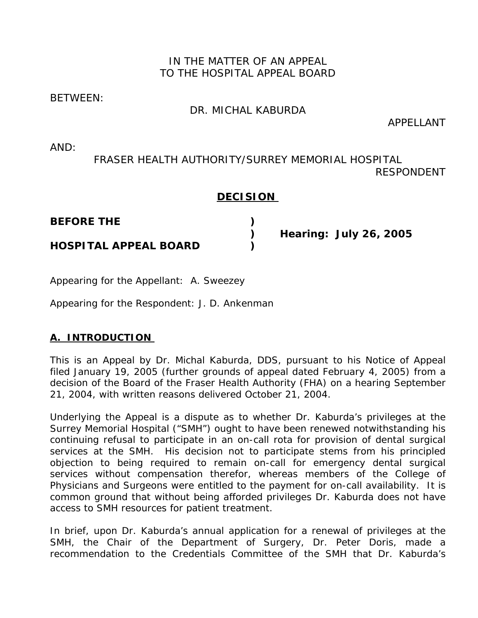## IN THE MATTER OF AN APPEAL TO THE HOSPITAL APPEAL BOARD

### BETWEEN:

## DR. MICHAL KABURDA

APPELLANT

AND:

# FRASER HEALTH AUTHORITY/SURREY MEMORIAL HOSPITAL RESPONDENT

## **DECISION**

**BEFORE THE )** 

**HOSPITAL APPEAL BOARD )** 

 **) Hearing: July 26, 2005** 

Appearing for the Appellant: A. Sweezey

Appearing for the Respondent: J. D. Ankenman

## **A. INTRODUCTION**

This is an Appeal by Dr. Michal Kaburda, DDS, pursuant to his Notice of Appeal filed January 19, 2005 (further grounds of appeal dated February 4, 2005) from a decision of the Board of the Fraser Health Authority (FHA) on a hearing September 21, 2004, with written reasons delivered October 21, 2004.

Underlying the Appeal is a dispute as to whether Dr. Kaburda's privileges at the Surrey Memorial Hospital ("SMH") ought to have been renewed notwithstanding his continuing refusal to participate in an on-call rota for provision of dental surgical services at the SMH. His decision not to participate stems from his principled objection to being required to remain on-call for emergency dental surgical services without compensation therefor, whereas members of the College of Physicians and Surgeons were entitled to the payment for on-call availability. It is common ground that without being afforded privileges Dr. Kaburda does not have access to SMH resources for patient treatment.

In brief, upon Dr. Kaburda's annual application for a renewal of privileges at the SMH, the Chair of the Department of Surgery, Dr. Peter Doris, made a recommendation to the Credentials Committee of the SMH that Dr. Kaburda's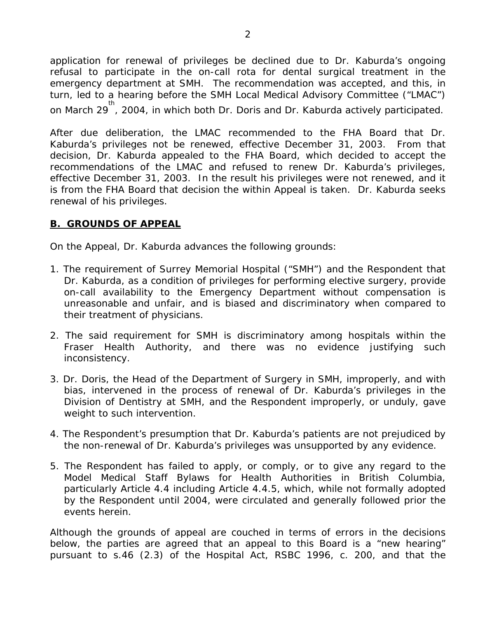application for renewal of privileges be declined due to Dr. Kaburda's ongoing refusal to participate in the on-call rota for dental surgical treatment in the emergency department at SMH. The recommendation was accepted, and this, in turn, led to a hearing before the SMH Local Medical Advisory Committee ("LMAC") on March 29<sup>th</sup>, 2004, in which both Dr. Doris and Dr. Kaburda actively participated.

After due deliberation, the LMAC recommended to the FHA Board that Dr. Kaburda's privileges not be renewed, effective December 31, 2003. From that decision, Dr. Kaburda appealed to the FHA Board, which decided to accept the recommendations of the LMAC and refused to renew Dr. Kaburda's privileges, effective December 31, 2003. In the result his privileges were not renewed, and it is from the FHA Board that decision the within Appeal is taken. Dr. Kaburda seeks renewal of his privileges.

#### **B. GROUNDS OF APPEAL**

On the Appeal, Dr. Kaburda advances the following grounds:

- 1. The requirement of Surrey Memorial Hospital ("SMH") and the Respondent that Dr. Kaburda, as a condition of privileges for performing elective surgery, provide on-call availability to the Emergency Department without compensation is unreasonable and unfair, and is biased and discriminatory when compared to their treatment of physicians.
- 2. The said requirement for SMH is discriminatory among hospitals within the Fraser Health Authority, and there was no evidence justifying such inconsistency.
- 3. Dr. Doris, the Head of the Department of Surgery in SMH, improperly, and with bias, intervened in the process of renewal of Dr. Kaburda's privileges in the Division of Dentistry at SMH, and the Respondent improperly, or unduly, gave weight to such intervention.
- 4. The Respondent's presumption that Dr. Kaburda's patients are not prejudiced by the non-renewal of Dr. Kaburda's privileges was unsupported by any evidence.
- 5. The Respondent has failed to apply, or comply, or to give any regard to the Model Medical Staff Bylaws for Health Authorities in British Columbia, particularly Article 4.4 including Article 4.4.5, which, while not formally adopted by the Respondent until 2004, were circulated and generally followed prior the events herein.

Although the grounds of appeal are couched in terms of errors in the decisions below, the parties are agreed that an appeal to this Board is a "new hearing" pursuant to s.46 (2.3) of the *Hospital Act*, RSBC 1996, c. 200, and that the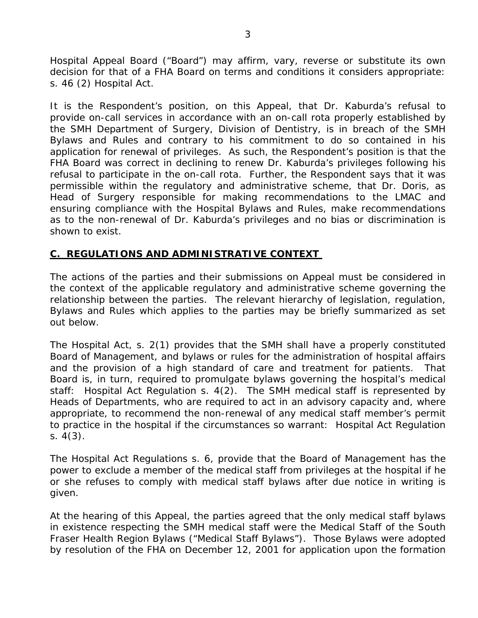Hospital Appeal Board ("Board") may affirm, vary, reverse or substitute its own decision for that of a FHA Board on terms and conditions it considers appropriate: s. 46 (2) *Hospital Act*.

It is the Respondent's position, on this Appeal, that Dr. Kaburda's refusal to provide on-call services in accordance with an on-call rota properly established by the SMH Department of Surgery, Division of Dentistry, is in breach of the SMH Bylaws and Rules and contrary to his commitment to do so contained in his application for renewal of privileges. As such, the Respondent's position is that the FHA Board was correct in declining to renew Dr. Kaburda's privileges following his refusal to participate in the on-call rota. Further, the Respondent says that it was permissible within the regulatory and administrative scheme, that Dr. Doris, as Head of Surgery responsible for making recommendations to the LMAC and ensuring compliance with the Hospital Bylaws and Rules, make recommendations as to the non-renewal of Dr. Kaburda's privileges and no bias or discrimination is shown to exist.

#### **C. REGULATIONS AND ADMINISTRATIVE CONTEXT**

The actions of the parties and their submissions on Appeal must be considered in the context of the applicable regulatory and administrative scheme governing the relationship between the parties. The relevant hierarchy of legislation, regulation, Bylaws and Rules which applies to the parties may be briefly summarized as set out below.

The *Hospital Act,* s. 2(1) provides that the SMH shall have a properly constituted Board of Management, and bylaws or rules for the administration of hospital affairs and the provision of a high standard of care and treatment for patients. That Board is, in turn, required to promulgate bylaws governing the hospital's medical staff: *Hospital Act* Regulation s. 4(2). The SMH medical staff is represented by Heads of Departments, who are required to act in an advisory capacity and, where appropriate, to recommend the non-renewal of any medical staff member's permit to practice in the hospital if the circumstances so warrant: *Hospital Act Regulation* s. 4(3).

The *Hospital Act Regulations* s. 6, provide that the Board of Management has the power to exclude a member of the medical staff from privileges at the hospital if he or she refuses to comply with medical staff bylaws after due notice in writing is given.

At the hearing of this Appeal, the parties agreed that the only medical staff bylaws in existence respecting the SMH medical staff were the Medical Staff of the South Fraser Health Region Bylaws ("*Medical Staff Bylaws*"). Those Bylaws were adopted by resolution of the FHA on December 12, 2001 for application upon the formation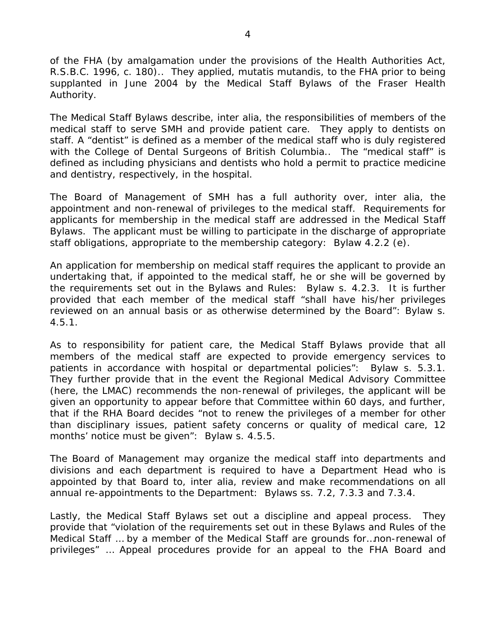of the FHA (by amalgamation under the provisions of the *Health Authorities Act*, R.S.B.C. 1996, c. 180).. They applied, *mutatis mutandis*, to the FHA prior to being supplanted in June 2004 by the *Medical Staff Bylaws of the Fraser Health Authority*.

The *Medical Staff Bylaws* describe, *inter alia*, the responsibilities of members of the medical staff to serve SMH and provide patient care. They apply to dentists on staff. A "dentist" is defined as a member of the medical staff who is duly registered with the College of Dental Surgeons of British Columbia.. The "medical staff" is defined as including physicians and dentists who hold a permit to practice medicine and dentistry, respectively, in the hospital.

The Board of Management of SMH has a full authority over, *inter alia*, the appointment and non-renewal of privileges to the medical staff. Requirements for applicants for membership in the medical staff are addressed in the *Medical Staff Bylaws*. The applicant must be willing to participate in the discharge of appropriate staff obligations, appropriate to the membership category: Bylaw 4.2.2 (e).

An application for membership on medical staff requires the applicant to provide an undertaking that, if appointed to the medical staff, he or she will be governed by the requirements set out in the Bylaws and Rules: *Bylaw* s. 4.2.3. It is further provided that each member of the medical staff "shall have his/her privileges reviewed on an annual basis or as otherwise determined by the Board": *Bylaw* s. 4.5.1.

As to responsibility for patient care, the *Medical Staff Bylaws* provide that all members of the medical staff are expected to provide emergency services to patients in accordance with hospital or departmental policies": *Bylaw* s. 5.3.1. They further provide that in the event the Regional Medical Advisory Committee (here, the LMAC) recommends the non-renewal of privileges, the applicant will be given an opportunity to appear before that Committee within 60 days, and further, that if the RHA Board decides "not to renew the privileges of a member for other than disciplinary issues, patient safety concerns or quality of medical care, 12 months' notice must be given": *Bylaw* s. 4.5.5.

The Board of Management may organize the medical staff into departments and divisions and each department is required to have a Department Head who is appointed by that Board to, *inter alia*, review and make recommendations on all annual re-appointments to the Department: *Bylaws* ss. 7.2, 7.3.3 and 7.3.4.

Lastly, the *Medical Staff Bylaws* set out a discipline and appeal process. They provide that "violation of the requirements set out in these Bylaws and Rules of the Medical Staff … by a member of the Medical Staff are grounds for…non-renewal of privileges" … Appeal procedures provide for an appeal to the FHA Board and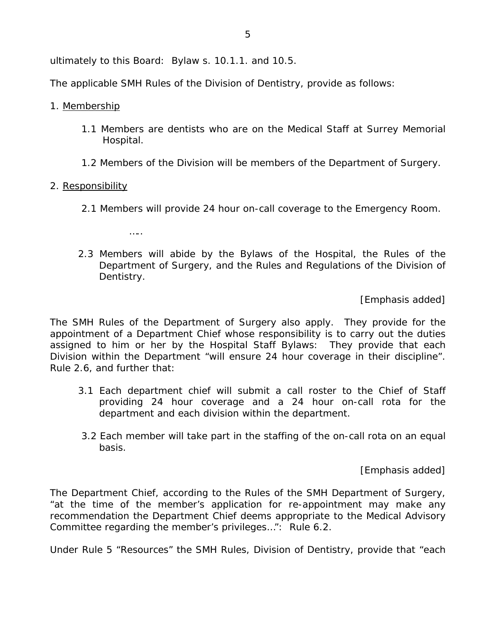ultimately to this Board: *Bylaw* s. 10.1.1. and 10.5.

The applicable SMH *Rules of the Division of Dentistry*, provide as follows:

- 1. Membership
	- 1.1 Members are dentists who are on the Medical Staff at Surrey Memorial Hospital.
	- 1.2 Members of the Division will be members of the Department of Surgery.

#### 2. Responsibility

…..

- 2.1 *Members will provide 24 hour on-call coverage to the Emergency Room.*
- 2.3 *Members will abide by the Bylaws of the Hospital, the Rules of the Department of Surgery, and the Rules and Regulations of the Division of Dentistry.*

[Emphasis added]

The SMH *Rules of the Department of Surgery* also apply. They provide for the appointment of a Department Chief whose responsibility is to carry out the duties assigned to him or her by the *Hospital Staff Bylaws*: They provide that each Division within the Department "will ensure 24 hour coverage in their discipline". *Rule 2.6*, and further that:

- 3.1 Each department chief will submit a call roster to the Chief of Staff providing 24 hour coverage and a 24 hour on-call rota for the department and each division within the department.
- 3.2 *Each member will take part in the staffing of the on-call rota on an equal basis.*

[Emphasis added]

The Department Chief, according to the *Rules of the SMH Department of Surgery*, "at the time of the member's application for re-appointment may make any recommendation the Department Chief deems appropriate to the Medical Advisory Committee regarding the member's privileges…": *Rule* 6.2.

Under Rule 5 "Resources" the SMH *Rules, Division of Dentistry*, provide that "each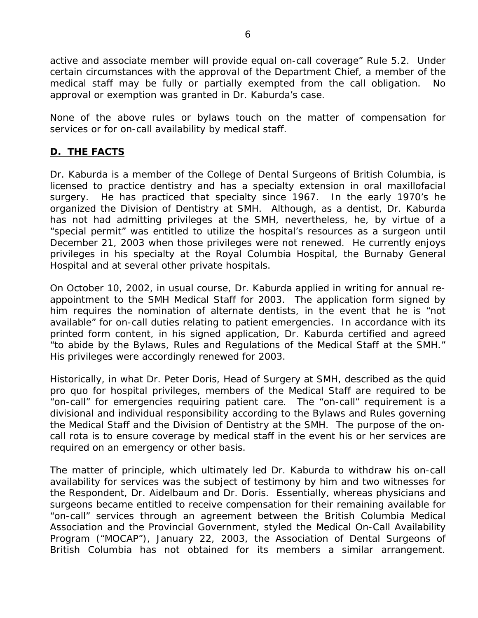active and associate member will provide equal on-call coverage" *Rule* 5.2. Under certain circumstances with the approval of the Department Chief, a member of the medical staff may be fully or partially exempted from the call obligation. No approval or exemption was granted in Dr. Kaburda's case.

None of the above rules or bylaws touch on the matter of compensation for services or for on-call availability by medical staff.

#### **D. THE FACTS**

Dr. Kaburda is a member of the College of Dental Surgeons of British Columbia, is licensed to practice dentistry and has a specialty extension in oral maxillofacial surgery. He has practiced that specialty since 1967. In the early 1970's he organized the Division of Dentistry at SMH. Although, as a dentist, Dr. Kaburda has not had admitting privileges at the SMH, nevertheless, he, by virtue of a "special permit" was entitled to utilize the hospital's resources as a surgeon until December 21, 2003 when those privileges were not renewed. He currently enjoys privileges in his specialty at the Royal Columbia Hospital, the Burnaby General Hospital and at several other private hospitals.

On October 10, 2002, in usual course, Dr. Kaburda applied in writing for annual reappointment to the SMH Medical Staff for 2003. The application form signed by him requires the nomination of alternate dentists, in the event that he is "not available" for on-call duties relating to patient emergencies. In accordance with its printed form content, in his signed application, Dr. Kaburda certified and agreed "to abide by the Bylaws, Rules and Regulations of the Medical Staff at the SMH." His privileges were accordingly renewed for 2003.

Historically, in what Dr. Peter Doris, Head of Surgery at SMH, described as the *quid pro quo* for hospital privileges, members of the Medical Staff are required to be "on-call" for emergencies requiring patient care. The "on-call" requirement is a divisional and individual responsibility according to the Bylaws and Rules governing the Medical Staff and the Division of Dentistry at the SMH. The purpose of the oncall rota is to ensure coverage by medical staff in the event his or her services are required on an emergency or other basis.

The matter of principle, which ultimately led Dr. Kaburda to withdraw his on-call availability for services was the subject of testimony by him and two witnesses for the Respondent, Dr. Aidelbaum and Dr. Doris. Essentially, whereas physicians and surgeons became entitled to receive compensation for their remaining available for "on-call" services through an agreement between the British Columbia Medical Association and the Provincial Government, styled the Medical On-Call Availability Program ("MOCAP"), January 22, 2003, the Association of Dental Surgeons of British Columbia has not obtained for its members a similar arrangement.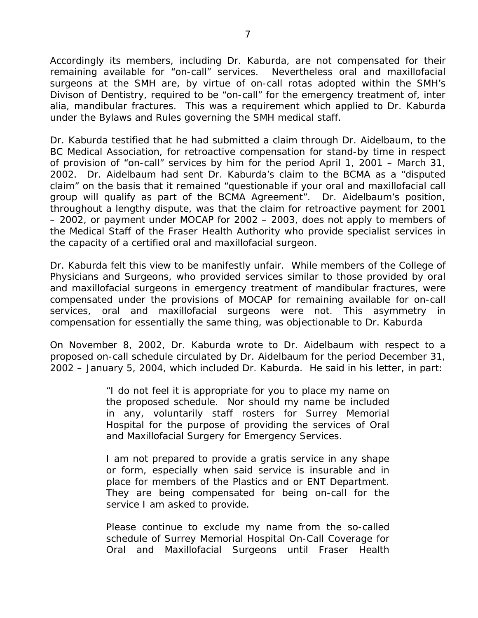Accordingly its members, including Dr. Kaburda, are not compensated for their remaining available for "on-call" services. Nevertheless oral and maxillofacial surgeons at the SMH are, by virtue of on-call rotas adopted within the SMH's Divison of Dentistry, required to be "on-call" for the emergency treatment of, *inter alia*, mandibular fractures. This was a requirement which applied to Dr. Kaburda under the Bylaws and Rules governing the SMH medical staff.

Dr. Kaburda testified that he had submitted a claim through Dr. Aidelbaum, to the BC Medical Association, for retroactive compensation for stand-by time in respect of provision of "on-call" services by him for the period April 1, 2001 – March 31, 2002. Dr. Aidelbaum had sent Dr. Kaburda's claim to the BCMA as a "disputed claim" on the basis that it remained "questionable if your oral and maxillofacial call group will qualify as part of the BCMA Agreement". Dr. Aidelbaum's position, throughout a lengthy dispute, was that the claim for retroactive payment for 2001 – 2002, or payment under MOCAP for 2002 – 2003, does not apply to members of the Medical Staff of the Fraser Health Authority who provide specialist services in the capacity of a certified oral and maxillofacial surgeon.

Dr. Kaburda felt this view to be manifestly unfair. While members of the College of Physicians and Surgeons, who provided services similar to those provided by oral and maxillofacial surgeons in emergency treatment of mandibular fractures, were compensated under the provisions of MOCAP for remaining available for on-call services, oral and maxillofacial surgeons were not. This asymmetry in compensation for essentially the same thing, was objectionable to Dr. Kaburda

On November 8, 2002, Dr. Kaburda wrote to Dr. Aidelbaum with respect to a proposed on-call schedule circulated by Dr. Aidelbaum for the period December 31, 2002 – January 5, 2004, which included Dr. Kaburda. He said in his letter, in part:

> "I do not feel it is appropriate for you to place my name on the proposed schedule. Nor should my name be included in any, voluntarily staff rosters for Surrey Memorial Hospital for the purpose of providing the services of Oral and Maxillofacial Surgery for Emergency Services.

> I am not prepared to provide a *gratis* service in any shape or form, especially when said service is insurable and in place for members of the Plastics and or ENT Department. They are being compensated for being on-call for the service I am asked to provide.

> Please continue to exclude my name from the so-called schedule of Surrey Memorial Hospital On-Call Coverage for Oral and Maxillofacial Surgeons until Fraser Health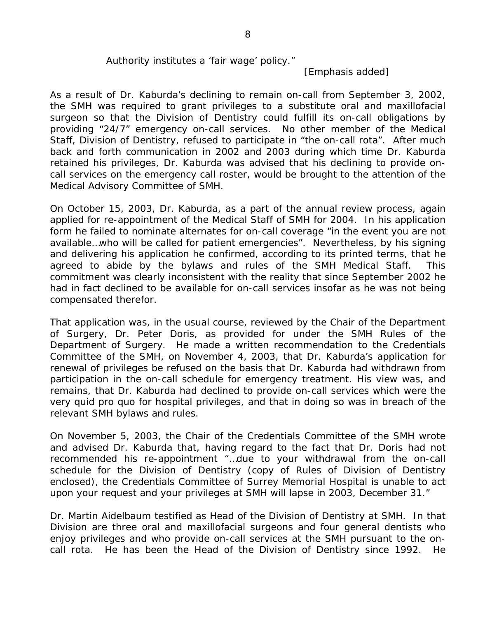#### Authority institutes a 'fair wage' policy."

[Emphasis added]

As a result of Dr. Kaburda's declining to remain on-call from September 3, 2002, the SMH was required to grant privileges to a substitute oral and maxillofacial surgeon so that the Division of Dentistry could fulfill its on-call obligations by providing "24/7" emergency on-call services. No other member of the Medical Staff, Division of Dentistry, refused to participate in "the on-call rota". After much back and forth communication in 2002 and 2003 during which time Dr. Kaburda retained his privileges, Dr. Kaburda was advised that his declining to provide oncall services on the emergency call roster, would be brought to the attention of the Medical Advisory Committee of SMH.

On October 15, 2003, Dr. Kaburda, as a part of the annual review process, again applied for re-appointment of the Medical Staff of SMH for 2004. In his application form he failed to nominate alternates for on-call coverage "in the event you are not available…who will be called for patient emergencies". Nevertheless, by his signing and delivering his application he confirmed, according to its printed terms, that he agreed to abide by the bylaws and rules of the SMH Medical Staff. This commitment was clearly inconsistent with the reality that since September 2002 he had in fact declined to be available for on-call services insofar as he was not being compensated therefor.

That application was, in the usual course, reviewed by the Chair of the Department of Surgery, Dr. Peter Doris, as provided for under the SMH *Rules of the Department of Surgery*. He made a written recommendation to the Credentials Committee of the SMH, on November 4, 2003, that Dr. Kaburda's application for renewal of privileges be refused on the basis that Dr. Kaburda had withdrawn from participation in the on-call schedule for emergency treatment. His view was, and remains, that Dr. Kaburda had declined to provide on-call services which were the very *quid pro quo* for hospital privileges, and that in doing so was in breach of the relevant SMH bylaws and rules.

On November 5, 2003, the Chair of the Credentials Committee of the SMH wrote and advised Dr. Kaburda that, having regard to the fact that Dr. Doris had not recommended his re-appointment "…due to your withdrawal from the on-call schedule for the Division of Dentistry (copy of Rules of Division of Dentistry enclosed), the Credentials Committee of Surrey Memorial Hospital is unable to act upon your request and your privileges at SMH will lapse in 2003, December 31."

Dr. Martin Aidelbaum testified as Head of the Division of Dentistry at SMH. In that Division are three oral and maxillofacial surgeons and four general dentists who enjoy privileges and who provide on-call services at the SMH pursuant to the oncall rota. He has been the Head of the Division of Dentistry since 1992. He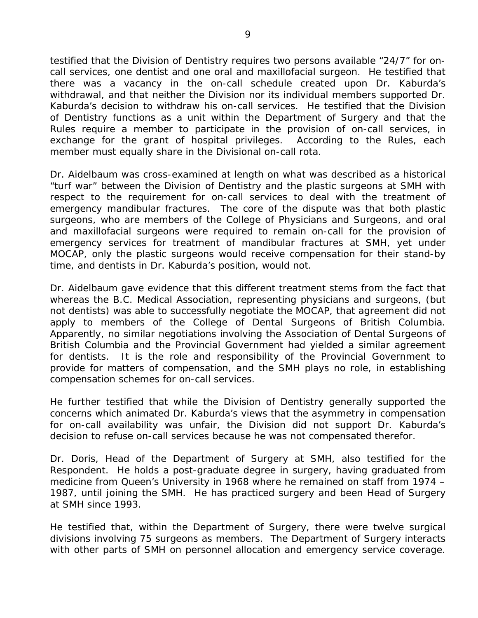testified that the Division of Dentistry requires two persons available "24/7" for oncall services, one dentist and one oral and maxillofacial surgeon. He testified that there was a vacancy in the on-call schedule created upon Dr. Kaburda's withdrawal, and that neither the Division nor its individual members supported Dr. Kaburda's decision to withdraw his on-call services. He testified that the Division of Dentistry functions as a unit within the Department of Surgery and that the Rules require a member to participate in the provision of on-call services, in exchange for the grant of hospital privileges. According to the Rules, each member must equally share in the Divisional on-call rota.

Dr. Aidelbaum was cross-examined at length on what was described as a historical "turf war" between the Division of Dentistry and the plastic surgeons at SMH with respect to the requirement for on-call services to deal with the treatment of emergency mandibular fractures. The core of the dispute was that both plastic surgeons, who are members of the College of Physicians and Surgeons, and oral and maxillofacial surgeons were required to remain on-call for the provision of emergency services for treatment of mandibular fractures at SMH, yet under MOCAP, only the plastic surgeons would receive compensation for their stand-by time, and dentists in Dr. Kaburda's position, would not.

Dr. Aidelbaum gave evidence that this different treatment stems from the fact that whereas the B.C. Medical Association, representing physicians and surgeons, (but not dentists) was able to successfully negotiate the MOCAP, that agreement did not apply to members of the College of Dental Surgeons of British Columbia. Apparently, no similar negotiations involving the Association of Dental Surgeons of British Columbia and the Provincial Government had yielded a similar agreement for dentists. It is the role and responsibility of the Provincial Government to provide for matters of compensation, and the SMH plays no role, in establishing compensation schemes for on-call services.

He further testified that while the Division of Dentistry generally supported the concerns which animated Dr. Kaburda's views that the asymmetry in compensation for on-call availability was unfair, the Division did not support Dr. Kaburda's decision to refuse on-call services because he was not compensated therefor.

Dr. Doris, Head of the Department of Surgery at SMH, also testified for the Respondent. He holds a post-graduate degree in surgery, having graduated from medicine from Queen's University in 1968 where he remained on staff from 1974 – 1987, until joining the SMH. He has practiced surgery and been Head of Surgery at SMH since 1993.

He testified that, within the Department of Surgery, there were twelve surgical divisions involving 75 surgeons as members. The Department of Surgery interacts with other parts of SMH on personnel allocation and emergency service coverage.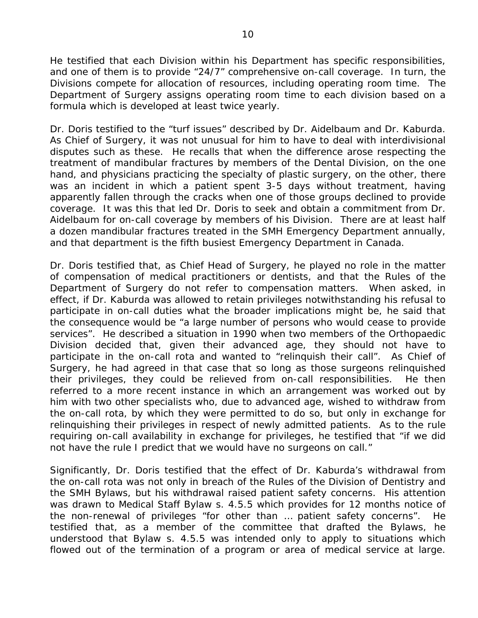He testified that each Division within his Department has specific responsibilities, and one of them is to provide "24/7" comprehensive on-call coverage. In turn, the Divisions compete for allocation of resources, including operating room time. The Department of Surgery assigns operating room time to each division based on a formula which is developed at least twice yearly.

Dr. Doris testified to the "turf issues" described by Dr. Aidelbaum and Dr. Kaburda. As Chief of Surgery, it was not unusual for him to have to deal with interdivisional disputes such as these. He recalls that when the difference arose respecting the treatment of mandibular fractures by members of the Dental Division, on the one hand, and physicians practicing the specialty of plastic surgery, on the other, there was an incident in which a patient spent 3-5 days without treatment, having apparently fallen through the cracks when one of those groups declined to provide coverage. It was this that led Dr. Doris to seek and obtain a commitment from Dr. Aidelbaum for on-call coverage by members of his Division. There are at least half a dozen mandibular fractures treated in the SMH Emergency Department annually, and that department is the fifth busiest Emergency Department in Canada.

Dr. Doris testified that, as Chief Head of Surgery, he played no role in the matter of compensation of medical practitioners or dentists, and that the Rules of the Department of Surgery do not refer to compensation matters. When asked, in effect, if Dr. Kaburda was allowed to retain privileges notwithstanding his refusal to participate in on-call duties what the broader implications might be, he said that the consequence would be "a large number of persons who would cease to provide services". He described a situation in 1990 when two members of the Orthopaedic Division decided that, given their advanced age, they should not have to participate in the on-call rota and wanted to "relinquish their call". As Chief of Surgery, he had agreed in that case that so long as those surgeons relinquished their privileges, they could be relieved from on-call responsibilities. He then referred to a more recent instance in which an arrangement was worked out by him with two other specialists who, due to advanced age, wished to withdraw from the on-call rota, by which they were permitted to do so, but only in exchange for relinquishing their privileges in respect of newly admitted patients. As to the rule requiring on-call availability in exchange for privileges, he testified that "if we did not have the rule I predict that we would have no surgeons on call."

Significantly, Dr. Doris testified that the effect of Dr. Kaburda's withdrawal from the on-call rota was not only in breach of the Rules of the Division of Dentistry and the SMH *Bylaws*, but his withdrawal raised patient safety concerns. His attention was drawn to *Medical Staff Bylaw* s. 4.5.5 which provides for 12 months notice of the non-renewal of privileges "for other than … patient safety concerns". He testified that, as a member of the committee that drafted the Bylaws, he understood that *Bylaw* s. 4.5.5 was intended only to apply to situations which flowed out of the termination of a program or area of medical service at large.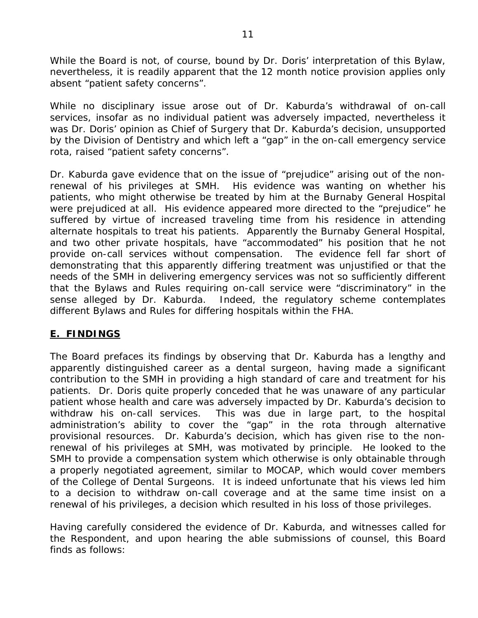While the Board is not, of course, bound by Dr. Doris' interpretation of this Bylaw, nevertheless, it is readily apparent that the 12 month notice provision applies only absent "patient safety concerns".

While no disciplinary issue arose out of Dr. Kaburda's withdrawal of on-call services, insofar as no individual patient was adversely impacted, nevertheless it was Dr. Doris' opinion as Chief of Surgery that Dr. Kaburda's decision, unsupported by the Division of Dentistry and which left a "gap" in the on-call emergency service rota, raised "patient safety concerns".

Dr. Kaburda gave evidence that on the issue of "prejudice" arising out of the nonrenewal of his privileges at SMH. His evidence was wanting on whether his patients, who might otherwise be treated by him at the Burnaby General Hospital were prejudiced at all. His evidence appeared more directed to the "prejudice" he suffered by virtue of increased traveling time from his residence in attending alternate hospitals to treat his patients. Apparently the Burnaby General Hospital, and two other private hospitals, have "accommodated" his position that he not provide on-call services without compensation. The evidence fell far short of demonstrating that this apparently differing treatment was unjustified or that the needs of the SMH in delivering emergency services was not so sufficiently different that the Bylaws and Rules requiring on-call service were "discriminatory" in the sense alleged by Dr. Kaburda. Indeed, the regulatory scheme contemplates different Bylaws and Rules for differing hospitals within the FHA.

#### **E. FINDINGS**

The Board prefaces its findings by observing that Dr. Kaburda has a lengthy and apparently distinguished career as a dental surgeon, having made a significant contribution to the SMH in providing a high standard of care and treatment for his patients. Dr. Doris quite properly conceded that he was unaware of any particular patient whose health and care was adversely impacted by Dr. Kaburda's decision to withdraw his on-call services. This was due in large part, to the hospital administration's ability to cover the "gap" in the rota through alternative provisional resources. Dr. Kaburda's decision, which has given rise to the nonrenewal of his privileges at SMH, was motivated by principle. He looked to the SMH to provide a compensation system which otherwise is only obtainable through a properly negotiated agreement, similar to MOCAP, which would cover members of the College of Dental Surgeons. It is indeed unfortunate that his views led him to a decision to withdraw on-call coverage and at the same time insist on a renewal of his privileges, a decision which resulted in his loss of those privileges.

Having carefully considered the evidence of Dr. Kaburda, and witnesses called for the Respondent, and upon hearing the able submissions of counsel, this Board finds as follows: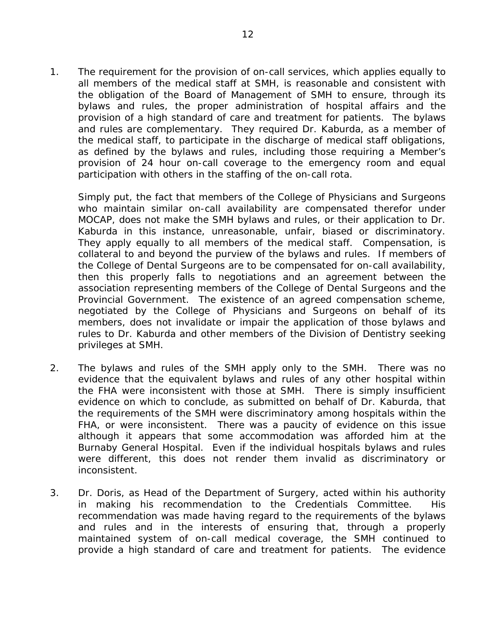1. The requirement for the provision of on-call services, which applies equally to all members of the medical staff at SMH, is reasonable and consistent with the obligation of the Board of Management of SMH to ensure, through its bylaws and rules, the proper administration of hospital affairs and the provision of a high standard of care and treatment for patients. The bylaws and rules are complementary. They required Dr. Kaburda, as a member of the medical staff, to participate in the discharge of medical staff obligations, as defined by the bylaws and rules, including those requiring a Member's provision of 24 hour on-call coverage to the emergency room and equal participation with others in the staffing of the on-call rota.

 Simply put, the fact that members of the College of Physicians and Surgeons who maintain similar on-call availability are compensated therefor under MOCAP, does not make the SMH bylaws and rules, or their application to Dr. Kaburda in this instance, unreasonable, unfair, biased or discriminatory. They apply equally to all members of the medical staff. Compensation, is collateral to and beyond the purview of the bylaws and rules. If members of the College of Dental Surgeons are to be compensated for on-call availability, then this properly falls to negotiations and an agreement between the association representing members of the College of Dental Surgeons and the Provincial Government. The existence of an agreed compensation scheme, negotiated by the College of Physicians and Surgeons on behalf of its members, does not invalidate or impair the application of those bylaws and rules to Dr. Kaburda and other members of the Division of Dentistry seeking privileges at SMH.

- 2. The bylaws and rules of the SMH apply only to the SMH. There was no evidence that the equivalent bylaws and rules of any other hospital within the FHA were inconsistent with those at SMH. There is simply insufficient evidence on which to conclude, as submitted on behalf of Dr. Kaburda, that the requirements of the SMH were discriminatory among hospitals within the FHA, or were inconsistent. There was a paucity of evidence on this issue although it appears that some accommodation was afforded him at the Burnaby General Hospital. Even if the individual hospitals bylaws and rules were different, this does not render them invalid as discriminatory or inconsistent.
- 3. Dr. Doris, as Head of the Department of Surgery, acted within his authority in making his recommendation to the Credentials Committee. His recommendation was made having regard to the requirements of the bylaws and rules and in the interests of ensuring that, through a properly maintained system of on-call medical coverage, the SMH continued to provide a high standard of care and treatment for patients. The evidence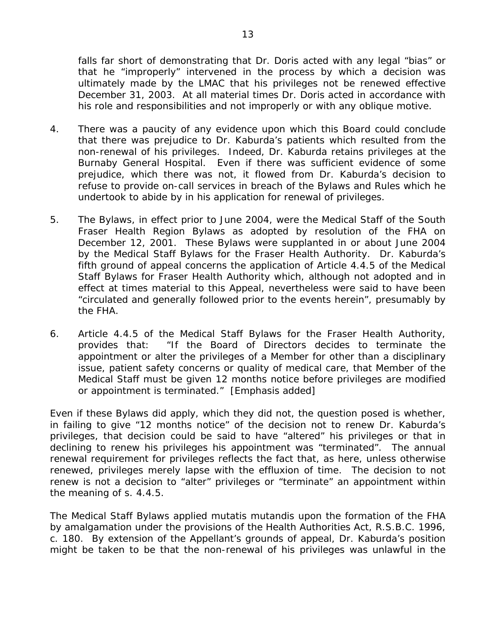falls far short of demonstrating that Dr. Doris acted with any legal "bias" or that he "improperly" intervened in the process by which a decision was ultimately made by the LMAC that his privileges not be renewed effective December 31, 2003. At all material times Dr. Doris acted in accordance with his role and responsibilities and not improperly or with any oblique motive.

- 4. There was a paucity of any evidence upon which this Board could conclude that there was prejudice to Dr. Kaburda's patients which resulted from the non-renewal of his privileges. Indeed, Dr. Kaburda retains privileges at the Burnaby General Hospital. Even if there was sufficient evidence of some prejudice, which there was not, it flowed from Dr. Kaburda's decision to refuse to provide on-call services in breach of the Bylaws and Rules which he undertook to abide by in his application for renewal of privileges.
- 5. The Bylaws, in effect prior to June 2004, were the *Medical Staff of the South Fraser Health Region Bylaws* as adopted by resolution of the FHA on December 12, 2001. These Bylaws were supplanted in or about June 2004 by the *Medical Staff Bylaws for the Fraser Health Authority.* Dr. Kaburda's fifth ground of appeal concerns the application of Article 4.4.5 of the *Medical Staff Bylaws for Fraser Health Authority* which, although not adopted and in effect at times material to this Appeal, nevertheless were said to have been "circulated and generally followed prior to the events herein", presumably by the FHA.
- 6. Article 4.4.5 of the *Medical Staff Bylaws for the Fraser Health Authority*, provides that: "If the Board of Directors decides to *terminate* the appointment or *alter* the privileges of a Member for other than a disciplinary issue, patient safety concerns or quality of medical care, that Member of the Medical Staff must be given 12 months notice before privileges are modified or appointment is terminated." [Emphasis added]

Even if these Bylaws did apply, which they did not, the question posed is whether, in failing to give "12 months notice" of the decision not to renew Dr. Kaburda's privileges, that decision could be said to have "altered" his privileges or that in declining to renew his privileges his appointment was "terminated". The annual renewal requirement for privileges reflects the fact that, as here, unless otherwise renewed, privileges merely lapse with the effluxion of time. The decision to not renew is not a decision to "alter" privileges or "terminate" an appointment within the meaning of s. 4.4.5.

*The Medical Staff Bylaws* applied *mutatis mutandis* upon the formation of the FHA by amalgamation under the provisions of the *Health Authorities Act*, R.S.B.C. 1996, c. 180. By extension of the Appellant's grounds of appeal, Dr. Kaburda's position might be taken to be that the non-renewal of his privileges was unlawful in the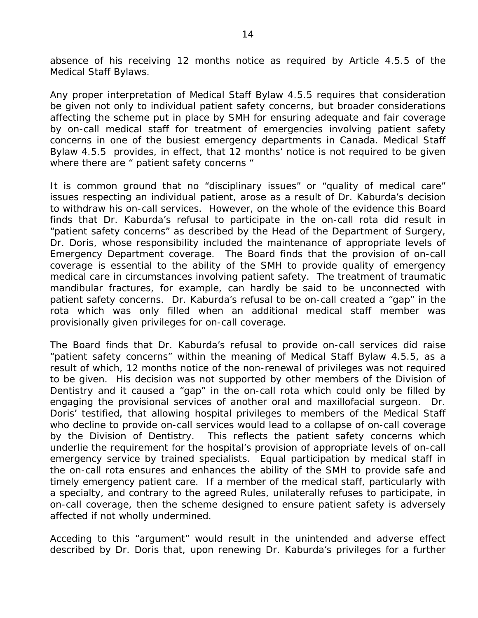absence of his receiving 12 months notice as required by Article 4.5.5 of the *Medical Staff Bylaws*.

Any proper interpretation of *Medical Staff Bylaw* 4.5.5 requires that consideration be given not only to individual patient safety concerns, but broader considerations affecting the scheme put in place by SMH for ensuring adequate and fair coverage by on-call medical staff for treatment of emergencies involving patient safety concerns in one of the busiest emergency departments in Canada. *Medical Staff Bylaw 4.5.5* provides, in effect, that 12 months' notice is not required to be given where there are " patient safety concerns "

It is common ground that no "disciplinary issues" or "quality of medical care" issues respecting an individual patient, arose as a result of Dr. Kaburda's decision to withdraw his on-call services. However, on the whole of the evidence this Board finds that Dr. Kaburda's refusal to participate in the on-call rota did result in "patient safety concerns" as described by the Head of the Department of Surgery, Dr. Doris, whose responsibility included the maintenance of appropriate levels of Emergency Department coverage. The Board finds that the provision of on-call coverage is essential to the ability of the SMH to provide quality of emergency medical care in circumstances involving patient safety. The treatment of traumatic mandibular fractures, for example, can hardly be said to be unconnected with patient safety concerns. Dr. Kaburda's refusal to be on-call created a "gap" in the rota which was only filled when an additional medical staff member was provisionally given privileges for on-call coverage.

The Board finds that Dr. Kaburda's refusal to provide on-call services did raise "patient safety concerns" within the meaning of *Medical Staff Bylaw* 4.5.5, as a result of which, 12 months notice of the non-renewal of privileges was not required to be given. His decision was not supported by other members of the Division of Dentistry and it caused a "gap" in the on-call rota which could only be filled by engaging the provisional services of another oral and maxillofacial surgeon. Dr. Doris' testified, that allowing hospital privileges to members of the Medical Staff who decline to provide on-call services would lead to a collapse of on-call coverage by the Division of Dentistry. This reflects the patient safety concerns which underlie the requirement for the hospital's provision of appropriate levels of on-call emergency service by trained specialists. Equal participation by medical staff in the on-call rota ensures and enhances the ability of the SMH to provide safe and timely emergency patient care. If a member of the medical staff, particularly with a specialty, and contrary to the agreed Rules, unilaterally refuses to participate, in on-call coverage, then the scheme designed to ensure patient safety is adversely affected if not wholly undermined.

Acceding to this "argument" would result in the unintended and adverse effect described by Dr. Doris that, upon renewing Dr. Kaburda's privileges for a further